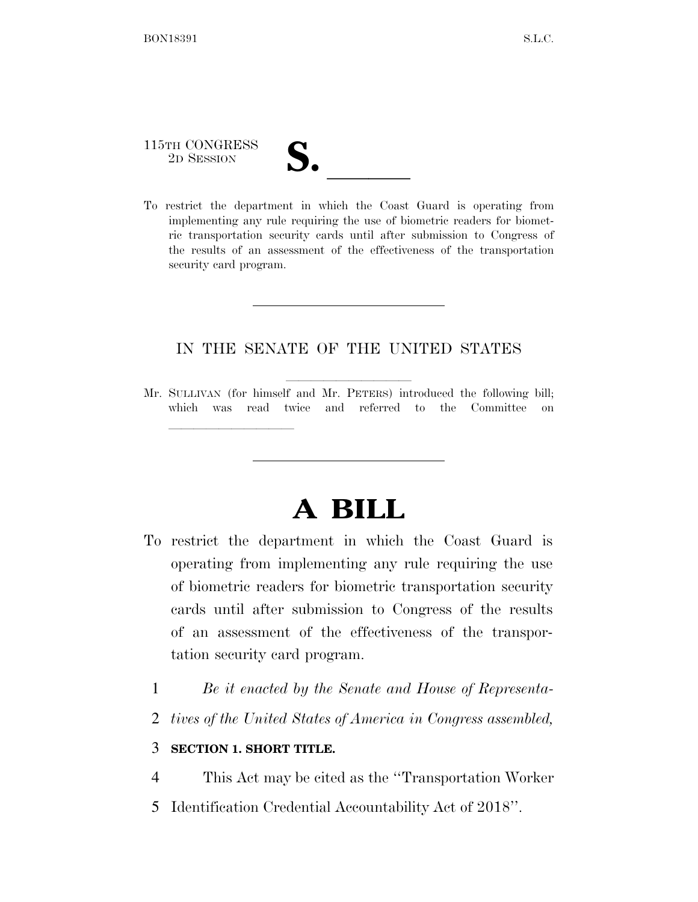## 115TH CONGRESS

lle and a second control of the second control of the second control of the second control of the second control of the second control of the second control of the second control of the second control of the second control

115TH CONGRESS<br>
2D SESSION<br>
To restrict the department in which the Coast Guard is operating from implementing any rule requiring the use of biometric readers for biometric transportation security cards until after submission to Congress of the results of an assessment of the effectiveness of the transportation security card program.

## IN THE SENATE OF THE UNITED STATES

Mr. SULLIVAN (for himself and Mr. PETERS) introduced the following bill; which was read twice and referred to the Committee on

## **A BILL**

- To restrict the department in which the Coast Guard is operating from implementing any rule requiring the use of biometric readers for biometric transportation security cards until after submission to Congress of the results of an assessment of the effectiveness of the transportation security card program.
	- 1 *Be it enacted by the Senate and House of Representa-*
	- 2 *tives of the United States of America in Congress assembled,*

## 3 **SECTION 1. SHORT TITLE.**

4 This Act may be cited as the ''Transportation Worker

5 Identification Credential Accountability Act of 2018''.